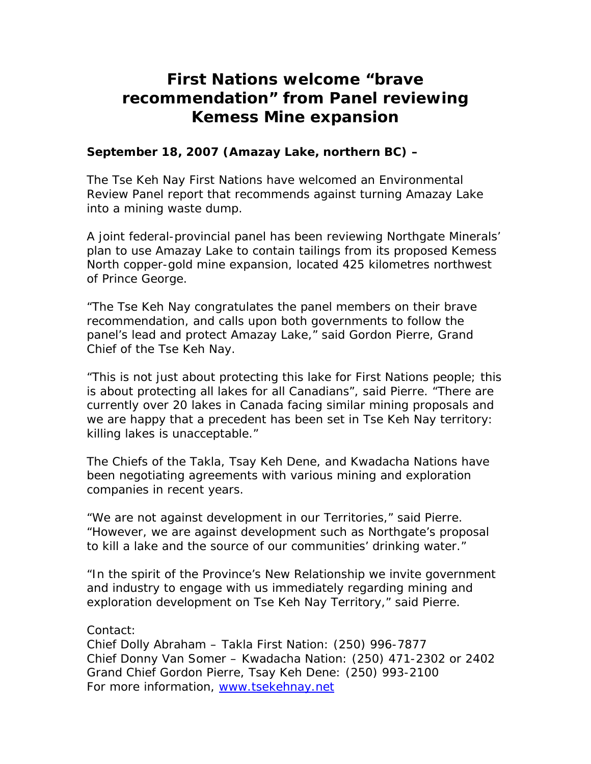## **First Nations welcome "brave recommendation" from Panel reviewing Kemess Mine expansion**

## **September 18, 2007 (Amazay Lake, northern BC) –**

The Tse Keh Nay First Nations have welcomed an Environmental Review Panel report that recommends against turning Amazay Lake into a mining waste dump.

A joint federal-provincial panel has been reviewing Northgate Minerals' plan to use Amazay Lake to contain tailings from its proposed Kemess North copper-gold mine expansion, located 425 kilometres northwest of Prince George.

"The Tse Keh Nay congratulates the panel members on their brave recommendation, and calls upon both governments to follow the panel's lead and protect Amazay Lake," said Gordon Pierre, Grand Chief of the Tse Keh Nay.

"This is not just about protecting this lake for First Nations people; this is about protecting all lakes for all Canadians", said Pierre. "There are currently over 20 lakes in Canada facing similar mining proposals and we are happy that a precedent has been set in Tse Keh Nay territory: killing lakes is unacceptable."

The Chiefs of the Takla, Tsay Keh Dene, and Kwadacha Nations have been negotiating agreements with various mining and exploration companies in recent years.

"We are not against development in our Territories," said Pierre. "However, we are against development such as Northgate's proposal to kill a lake and the source of our communities' drinking water."

"In the spirit of the Province's New Relationship we invite government and industry to engage with us immediately regarding mining and exploration development on Tse Keh Nay Territory," said Pierre.

## Contact:

Chief Dolly Abraham – Takla First Nation: (250) 996-7877 Chief Donny Van Somer – Kwadacha Nation: (250) 471-2302 or 2402 Grand Chief Gordon Pierre, Tsay Keh Dene: (250) 993-2100 For more information, [www.tsekehnay.net](http://www.tsekehnay.net/)